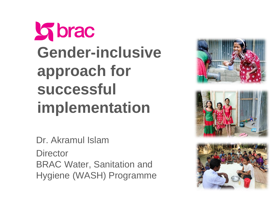# **Soldiers Gender-inclusive approach for successful implementation**

Dr. Akramul Islam

**Director** BRAC Water, Sanitation and Hygiene (WASH) Programme

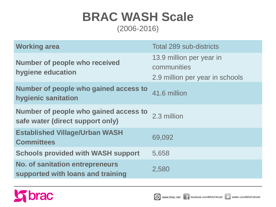#### **BRAC WASH Scale** (2006-2016)

**Working area Total 289 sub-districts Number of people who received hygiene education** 13.9 million per year in communities 2.9 million per year in schools **Number of people who gained access to hygienic sanitation** 41.6 million **Number of people who gained access to**  safe water (direct support only)<sup>2.3 million</sup> **Established Village/Urban WASH Committees** 69,092 **Schools provided with WASH support** 5,658 **No. of sanitation entrepreneurs supported with loans and training** 2,580

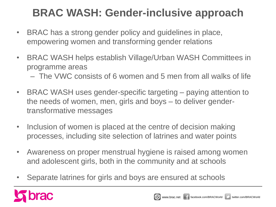### **BRAC WASH: Gender-inclusive approach**

- BRAC has a strong gender policy and guidelines in place, empowering women and transforming gender relations
- BRAC WASH helps establish Village/Urban WASH Committees in programme areas
	- The VWC consists of 6 women and 5 men from all walks of life
- BRAC WASH uses gender-specific targeting paying attention to the needs of women, men, girls and boys – to deliver gendertransformative messages
- Inclusion of women is placed at the centre of decision making processes, including site selection of latrines and water points
- Awareness on proper menstrual hygiene is raised among women and adolescent girls, both in the community and at schools
- Separate latrines for girls and boys are ensured at schools

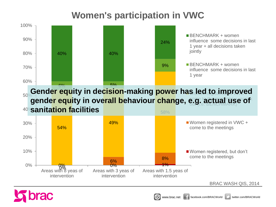#### **Women's participation in VWC**



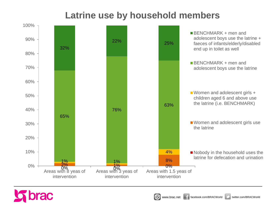#### **Latrine use by household members**



 $\otimes$